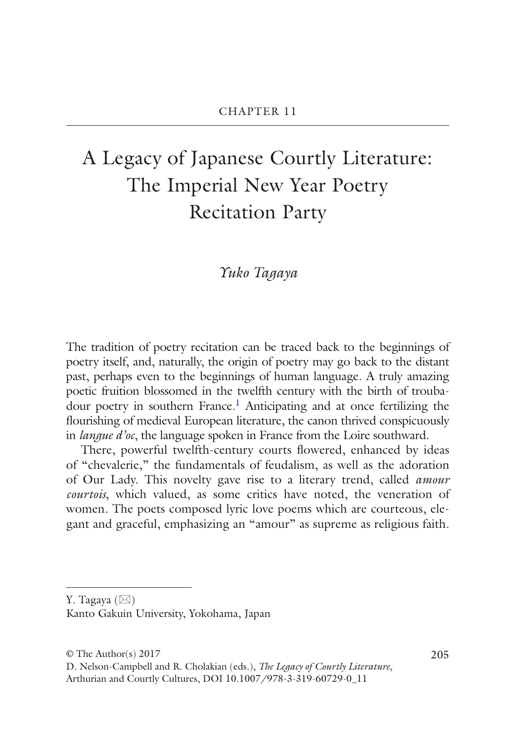# A Legacy of Japanese Courtly Literature: The Imperial New Year Poetry Recitation Party

# *Yuko Tagaya*

The tradition of poetry recitation can be traced back to the beginnings of poetry itself, and, naturally, the origin of poetry may go back to the distant past, perhaps even to the beginnings of human language. A truly amazing poetic fruition blossomed in the twelfth century with the birth of trouba-dour poetry in southern France.<sup>[1](#page-11-0)</sup> Anticipating and at once fertilizing the fourishing of medieval European literature, the canon thrived conspicuously in *langue d'oc*, the language spoken in France from the Loire southward.

There, powerful twelfth-century courts flowered, enhanced by ideas of "chevalerie," the fundamentals of feudalism, as well as the adoration of Our Lady. This novelty gave rise to a literary trend, called *amour courtois*, which valued, as some critics have noted, the veneration of women. The poets composed lyric love poems which are courteous, elegant and graceful, emphasizing an "amour" as supreme as religious faith.

© The Author(s) 2017

Y. Tagaya  $(\boxtimes)$ 

Kanto Gakuin University, Yokohama, Japan

D. Nelson-Campbell and R. Cholakian (eds.), *The Legacy of Courtly Literature*, Arthurian and Courtly Cultures, DOI 10.1007/978-3-319-60729-0\_11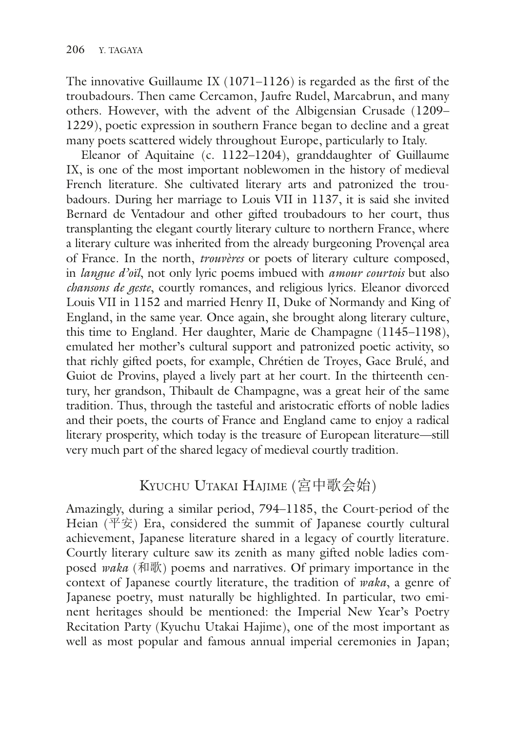The innovative Guillaume IX (1071–1126) is regarded as the frst of the troubadours. Then came Cercamon, Jaufre Rudel, Marcabrun, and many others. However, with the advent of the Albigensian Crusade (1209– 1229), poetic expression in southern France began to decline and a great many poets scattered widely throughout Europe, particularly to Italy.

Eleanor of Aquitaine (c. 1122–1204), granddaughter of Guillaume IX, is one of the most important noblewomen in the history of medieval French literature. She cultivated literary arts and patronized the troubadours. During her marriage to Louis VII in 1137, it is said she invited Bernard de Ventadour and other gifted troubadours to her court, thus transplanting the elegant courtly literary culture to northern France, where a literary culture was inherited from the already burgeoning Provençal area of France. In the north, *trouvères* or poets of literary culture composed, in *langue d'oïl*, not only lyric poems imbued with *amour courtois* but also *chansons de geste*, courtly romances, and religious lyrics. Eleanor divorced Louis VII in 1152 and married Henry II, Duke of Normandy and King of England, in the same year. Once again, she brought along literary culture, this time to England. Her daughter, Marie de Champagne (1145–1198), emulated her mother's cultural support and patronized poetic activity, so that richly gifted poets, for example, Chrétien de Troyes, Gace Brulé, and Guiot de Provins, played a lively part at her court. In the thirteenth century, her grandson, Thibault de Champagne, was a great heir of the same tradition. Thus, through the tasteful and aristocratic efforts of noble ladies and their poets, the courts of France and England came to enjoy a radical literary prosperity, which today is the treasure of European literature—still very much part of the shared legacy of medieval courtly tradition.

# KYUCHU UTAKAI HAJIME (宮中歌会始)

Amazingly, during a similar period, 794–1185, the Court-period of the Heian (平安) Era, considered the summit of Japanese courtly cultural achievement, Japanese literature shared in a legacy of courtly literature. Courtly literary culture saw its zenith as many gifted noble ladies composed *waka* (和歌) poems and narratives. Of primary importance in the context of Japanese courtly literature, the tradition of *waka*, a genre of Japanese poetry, must naturally be highlighted. In particular, two eminent heritages should be mentioned: the Imperial New Year's Poetry Recitation Party (Kyuchu Utakai Hajime), one of the most important as well as most popular and famous annual imperial ceremonies in Japan;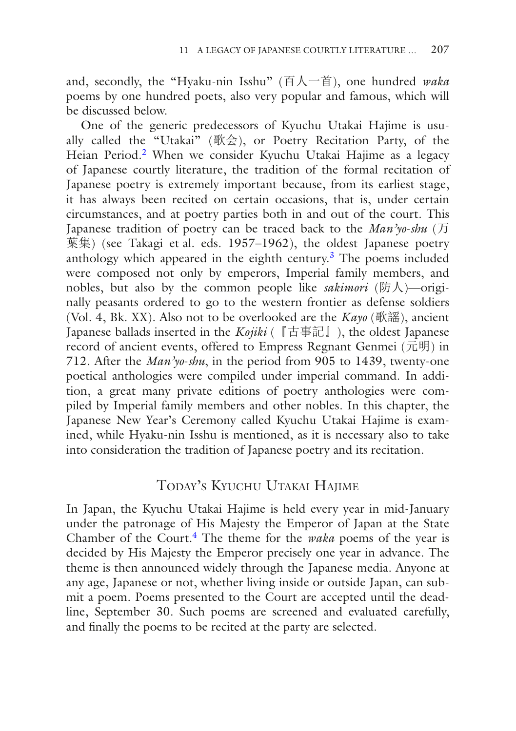and, secondly, the "Hyaku-nin Isshu" (百人一首), one hundred *waka* poems by one hundred poets, also very popular and famous, which will be discussed below.

One of the generic predecessors of Kyuchu Utakai Hajime is usually called the "Utakai" (歌会), or Poetry Recitation Party, of the Heian Period[.2](#page-11-0) When we consider Kyuchu Utakai Hajime as a legacy of Japanese courtly literature, the tradition of the formal recitation of Japanese poetry is extremely important because, from its earliest stage, it has always been recited on certain occasions, that is, under certain circumstances, and at poetry parties both in and out of the court. This Japanese tradition of poetry can be traced back to the *Man'yo*-*shu* (万 葉集) (see Takagi et al. eds. 1957–1962), the oldest Japanese poetry anthology which appeared in the eighth century.<sup>3</sup> The poems included were composed not only by emperors, Imperial family members, and nobles, but also by the common people like *sakimori* (防人)—originally peasants ordered to go to the western frontier as defense soldiers (Vol. 4, Bk. XX). Also not to be overlooked are the *Kayo* (歌謡), ancient Japanese ballads inserted in the *Kojiki* (『古事記』), the oldest Japanese record of ancient events, offered to Empress Regnant Genmei (元明) in 712. After the *Man'yo*-*shu*, in the period from 905 to 1439, twenty-one poetical anthologies were compiled under imperial command. In addition, a great many private editions of poetry anthologies were compiled by Imperial family members and other nobles. In this chapter, the Japanese New Year's Ceremony called Kyuchu Utakai Hajime is examined, while Hyaku-nin Isshu is mentioned, as it is necessary also to take into consideration the tradition of Japanese poetry and its recitation.

#### Today's Kyuchu Utakai Hajime

In Japan, the Kyuchu Utakai Hajime is held every year in mid-January under the patronage of His Majesty the Emperor of Japan at the State Chamber of the Court.[4](#page-11-0) The theme for the *waka* poems of the year is decided by His Majesty the Emperor precisely one year in advance. The theme is then announced widely through the Japanese media. Anyone at any age, Japanese or not, whether living inside or outside Japan, can submit a poem. Poems presented to the Court are accepted until the deadline, September 30. Such poems are screened and evaluated carefully, and fnally the poems to be recited at the party are selected.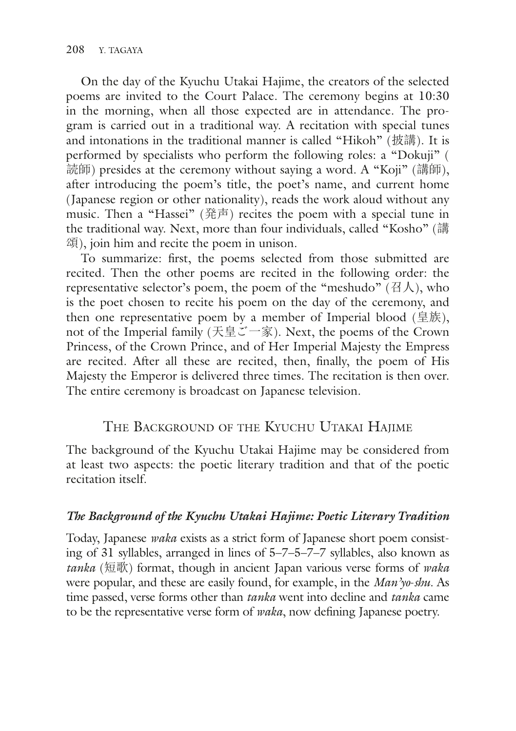On the day of the Kyuchu Utakai Hajime, the creators of the selected poems are invited to the Court Palace. The ceremony begins at 10:30 in the morning, when all those expected are in attendance. The program is carried out in a traditional way. A recitation with special tunes and intonations in the traditional manner is called "Hikoh" (披講). It is performed by specialists who perform the following roles: a "Dokuji" ( 読師) presides at the ceremony without saying a word. A "Koji" (講師), after introducing the poem's title, the poet's name, and current home (Japanese region or other nationality), reads the work aloud without any music. Then a "Hassei" (発声) recites the poem with a special tune in the traditional way. Next, more than four individuals, called "Kosho" (講 頌), join him and recite the poem in unison.

To summarize: frst, the poems selected from those submitted are recited. Then the other poems are recited in the following order: the representative selector's poem, the poem of the "meshudo" ( $\mathbb{Z} \setminus \mathbb{Z}$ ), who is the poet chosen to recite his poem on the day of the ceremony, and then one representative poem by a member of Imperial blood (皇族), not of the Imperial family (天皇ご一家). Next, the poems of the Crown Princess, of the Crown Prince, and of Her Imperial Majesty the Empress are recited. After all these are recited, then, fnally, the poem of His Majesty the Emperor is delivered three times. The recitation is then over. The entire ceremony is broadcast on Japanese television.

## THE BACKGROUND OF THE KYUCHU UTAKAI HAJIME

The background of the Kyuchu Utakai Hajime may be considered from at least two aspects: the poetic literary tradition and that of the poetic recitation itself.

#### *The Background of the Kyuchu Utakai Hajime: Poetic Literary Tradition*

Today, Japanese *waka* exists as a strict form of Japanese short poem consisting of 31 syllables, arranged in lines of 5–7–5–7–7 syllables, also known as *tanka* (短歌) format, though in ancient Japan various verse forms of *waka* were popular, and these are easily found, for example, in the *Man'yo*-*shu*. As time passed, verse forms other than *tanka* went into decline and *tanka* came to be the representative verse form of *waka*, now defning Japanese poetry.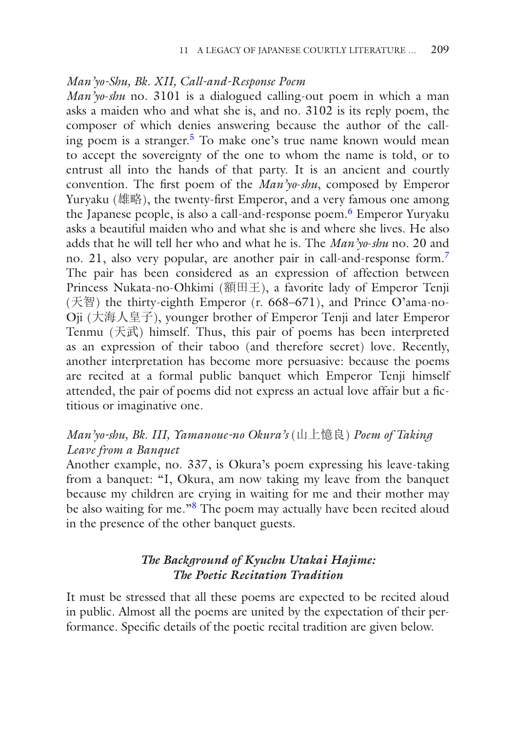#### *Man'yo-Shu, Bk. XII, Call-and-Response Poem*

*Man'yo*-*shu* no. 3101 is a dialogued calling-out poem in which a man asks a maiden who and what she is, and no. 3102 is its reply poem, the composer of which denies answering because the author of the calling poem is a stranger.<sup>5</sup> To make one's true name known would mean to accept the sovereignty of the one to whom the name is told, or to entrust all into the hands of that party. It is an ancient and courtly convention. The frst poem of the *Man'yo*-*shu*, composed by Emperor Yuryaku (雄略), the twenty-frst Emperor, and a very famous one among the Japanese people, is also a call-and-response poem.[6](#page-11-0) Emperor Yuryaku asks a beautiful maiden who and what she is and where she lives. He also adds that he will tell her who and what he is. The *Man'yo*-*shu* no. 20 and no. 21, also very popular, are another pair in call-and-response form.[7](#page-11-0) The pair has been considered as an expression of affection between Princess Nukata-no-Ohkimi (額田王), a favorite lady of Emperor Tenji (天智) the thirty-eighth Emperor (r. 668–671), and Prince O'ama-no-Oji (大海人皇子), younger brother of Emperor Tenji and later Emperor Tenmu (天武) himself. Thus, this pair of poems has been interpreted as an expression of their taboo (and therefore secret) love. Recently, another interpretation has become more persuasive: because the poems are recited at a formal public banquet which Emperor Tenji himself attended, the pair of poems did not express an actual love affair but a fctitious or imaginative one.

### *Man'yo-shu, Bk. III, Yamanoue-no Okura's* (山上憶良) *Poem of Taking Leave from a Banquet*

Another example, no. 337, is Okura's poem expressing his leave-taking from a banquet: "I, Okura, am now taking my leave from the banquet because my children are crying in waiting for me and their mother may be also waiting for me.["8](#page-11-0) The poem may actually have been recited aloud in the presence of the other banquet guests.

### *The Background of Kyuchu Utakai Hajime: The Poetic Recitation Tradition*

It must be stressed that all these poems are expected to be recited aloud in public. Almost all the poems are united by the expectation of their performance. Specifc details of the poetic recital tradition are given below.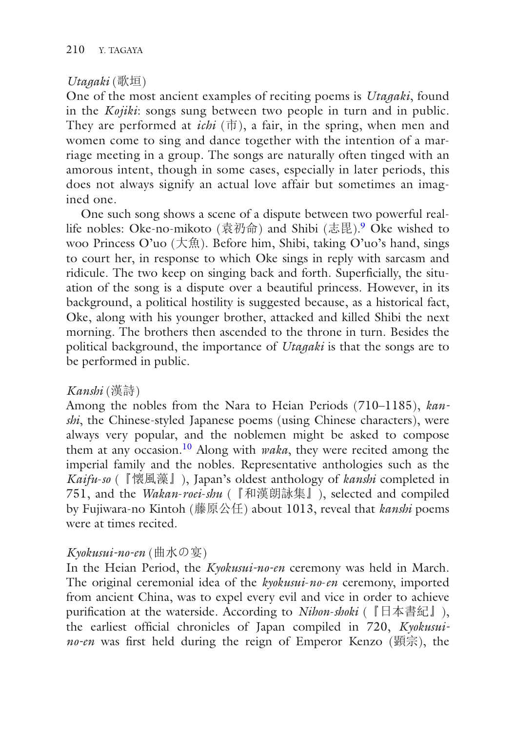#### *Utagaki* (歌垣)

One of the most ancient examples of reciting poems is *Utagaki*, found in the *Kojiki*: songs sung between two people in turn and in public. They are performed at *ichi* (市), a fair, in the spring, when men and women come to sing and dance together with the intention of a marriage meeting in a group. The songs are naturally often tinged with an amorous intent, though in some cases, especially in later periods, this does not always signify an actual love affair but sometimes an imagined one.

One such song shows a scene of a dispute between two powerful reallife nobles: Oke-no-mikoto (袁礽命) and Shibi (志毘)[.9](#page-11-0) Oke wished to woo Princess O'uo (大魚). Before him, Shibi, taking O'uo's hand, sings to court her, in response to which Oke sings in reply with sarcasm and ridicule. The two keep on singing back and forth. Superfcially, the situation of the song is a dispute over a beautiful princess. However, in its background, a political hostility is suggested because, as a historical fact, Oke, along with his younger brother, attacked and killed Shibi the next morning. The brothers then ascended to the throne in turn. Besides the political background, the importance of *Utagaki* is that the songs are to be performed in public.

### *Kanshi* (漢詩)

Among the nobles from the Nara to Heian Periods (710–1185), *kanshi*, the Chinese-styled Japanese poems (using Chinese characters), were always very popular, and the noblemen might be asked to compose them at any occasion[.10](#page-11-0) Along with *waka*, they were recited among the imperial family and the nobles. Representative anthologies such as the *Kaifu*-*so* (『懐風藻』), Japan's oldest anthology of *kanshi* completed in 751, and the *Wakan*-*roei*-*shu* (『和漢朗詠集』), selected and compiled by Fujiwara-no Kintoh (藤原公任) about 1013, reveal that *kanshi* poems were at times recited.

## *Kyokusui-no-en* (曲水の宴)

In the Heian Period, the *Kyokusui-no-en* ceremony was held in March. The original ceremonial idea of the *kyokusui*-*no*-*en* ceremony, imported from ancient China, was to expel every evil and vice in order to achieve purifcation at the waterside. According to *Nihon*-*shoki* (『日本書紀』), the earliest offcial chronicles of Japan compiled in 720, *Kyokusuino-en* was frst held during the reign of Emperor Kenzo (顕宗), the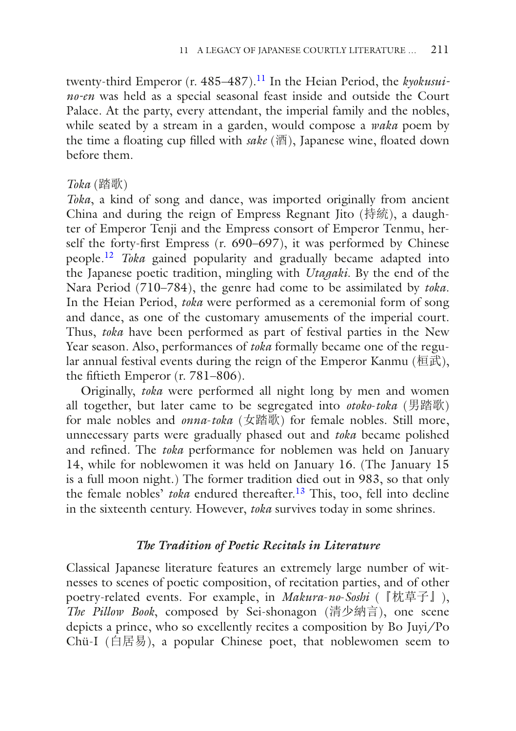twenty-third Emperor (r. 485-487).<sup>[11](#page-11-0)</sup> In the Heian Period, the *kyokusuino-en* was held as a special seasonal feast inside and outside the Court Palace. At the party, every attendant, the imperial family and the nobles, while seated by a stream in a garden, would compose a *waka* poem by the time a foating cup flled with *sake* (酒), Japanese wine, foated down before them.

#### *Toka* (踏歌)

*Toka*, a kind of song and dance, was imported originally from ancient China and during the reign of Empress Regnant Jito (持統), a daughter of Emperor Tenji and the Empress consort of Emperor Tenmu, herself the forty-frst Empress (r. 690–697), it was performed by Chinese people.[12](#page-11-0) *Toka* gained popularity and gradually became adapted into the Japanese poetic tradition, mingling with *Utagaki*. By the end of the Nara Period (710–784), the genre had come to be assimilated by *toka*. In the Heian Period, *toka* were performed as a ceremonial form of song and dance, as one of the customary amusements of the imperial court. Thus, *toka* have been performed as part of festival parties in the New Year season. Also, performances of *toka* formally became one of the regular annual festival events during the reign of the Emperor Kanmu (桓武), the fftieth Emperor (r. 781–806).

Originally, *toka* were performed all night long by men and women all together, but later came to be segregated into *otoko*-*toka* (男踏歌) for male nobles and *onna*-*toka* (女踏歌) for female nobles. Still more, unnecessary parts were gradually phased out and *toka* became polished and refned. The *toka* performance for noblemen was held on January 14, while for noblewomen it was held on January 16. (The January 15 is a full moon night.) The former tradition died out in 983, so that only the female nobles' *toka* endured thereafter.<sup>13</sup> This, too, fell into decline in the sixteenth century. However, *toka* survives today in some shrines.

#### *The Tradition of Poetic Recitals in Literature*

Classical Japanese literature features an extremely large number of witnesses to scenes of poetic composition, of recitation parties, and of other poetry-related events. For example, in *Makura*-*no*-*Soshi* (『枕草子』), *The Pillow Book*, composed by Sei-shonagon (清少納言), one scene depicts a prince, who so excellently recites a composition by Bo Juyi/Po Chü-I (白居易), a popular Chinese poet, that noblewomen seem to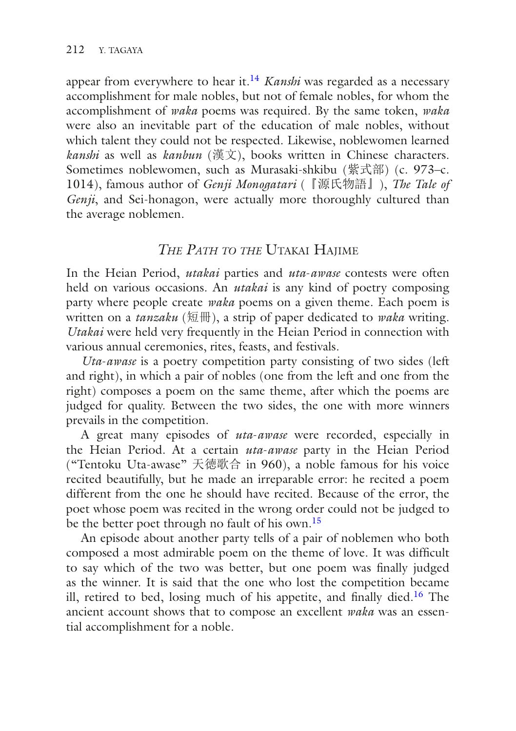appear from everywhere to hear it[.14](#page-11-0) *Kanshi* was regarded as a necessary accomplishment for male nobles, but not of female nobles, for whom the accomplishment of *waka* poems was required. By the same token, *waka* were also an inevitable part of the education of male nobles, without which talent they could not be respected. Likewise, noblewomen learned *kanshi* as well as *kanbun* (漢文), books written in Chinese characters. Sometimes noblewomen, such as Murasaki-shkibu (紫式部) (c. 973–c. 1014), famous author of *Genji Monogatari* (『源氏物語』), *The Tale of Genji*, and Sei-honagon, were actually more thoroughly cultured than the average noblemen.

# *The Path to the* Utakai Hajime

In the Heian Period, *utakai* parties and *uta*-*awase* contests were often held on various occasions. An *utakai* is any kind of poetry composing party where people create *waka* poems on a given theme. Each poem is written on a *tanzaku* (短冊), a strip of paper dedicated to *waka* writing. *Utakai* were held very frequently in the Heian Period in connection with various annual ceremonies, rites, feasts, and festivals.

*Uta*-*awase* is a poetry competition party consisting of two sides (left and right), in which a pair of nobles (one from the left and one from the right) composes a poem on the same theme, after which the poems are judged for quality. Between the two sides, the one with more winners prevails in the competition.

A great many episodes of *uta*-*awase* were recorded, especially in the Heian Period. At a certain *uta*-*awase* party in the Heian Period ("Tentoku Uta-awase" 天徳歌合 in 960), a noble famous for his voice recited beautifully, but he made an irreparable error: he recited a poem different from the one he should have recited. Because of the error, the poet whose poem was recited in the wrong order could not be judged to be the better poet through no fault of his own.<sup>[15](#page-11-0)</sup>

An episode about another party tells of a pair of noblemen who both composed a most admirable poem on the theme of love. It was diffcult to say which of the two was better, but one poem was fnally judged as the winner. It is said that the one who lost the competition became ill, retired to bed, losing much of his appetite, and finally died.<sup>16</sup> The ancient account shows that to compose an excellent *waka* was an essential accomplishment for a noble.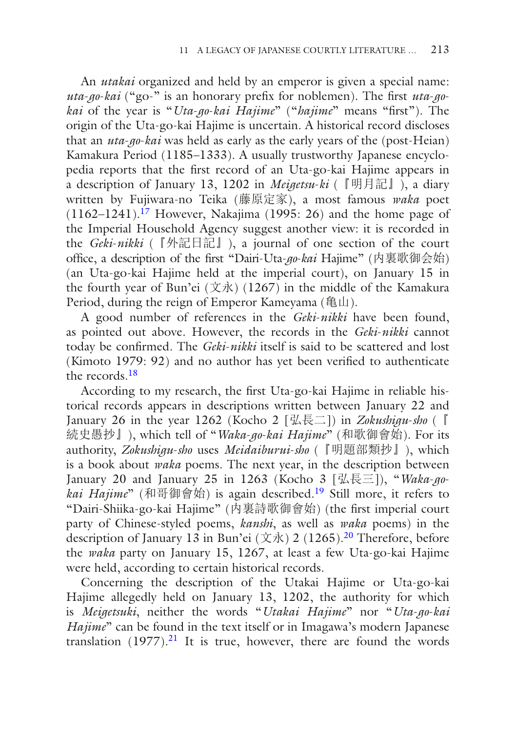An *utakai* organized and held by an emperor is given a special name: *uta*-*go*-*kai* ("go-" is an honorary prefx for noblemen). The frst *uta*-*gokai* of the year is "*Uta*-*go*-*kai Hajime*" ("*hajime*" means "frst"). The origin of the Uta-go-kai Hajime is uncertain. A historical record discloses that an *uta*-*go*-*kai* was held as early as the early years of the (post-Heian) Kamakura Period (1185–1333). A usually trustworthy Japanese encyclopedia reports that the frst record of an Uta-go-kai Hajime appears in a description of January 13, 1202 in *Meigetsu*-*ki* (『明月記』), a diary written by Fujiwara-no Teika (藤原定家), a most famous *waka* poet  $(1162–1241).$ <sup>17</sup> However, Nakajima (1995: 26) and the home page of the Imperial Household Agency suggest another view: it is recorded in the *Geki*-*nikki* (『外記日記』), a journal of one section of the court offce, a description of the frst "Dairi-Uta-*go*-*kai* Hajime" (内裏歌御会始) (an Uta-go-kai Hajime held at the imperial court), on January 15 in the fourth year of Bun'ei ( $\overrightarrow{\chi}$ ) (1267) in the middle of the Kamakura Period, during the reign of Emperor Kameyama (亀山).

A good number of references in the *Geki*-*nikki* have been found, as pointed out above. However, the records in the *Geki*-*nikki* cannot today be confrmed. The *Geki*-*nikki* itself is said to be scattered and lost (Kimoto 1979: 92) and no author has yet been verifed to authenticate the records[.18](#page-11-0)

According to my research, the frst Uta-go-kai Hajime in reliable historical records appears in descriptions written between January 22 and January 26 in the year 1262 (Kocho 2 [弘長二]) in *Zokushigu*-*sho* (『 続史愚抄』), which tell of "*Waka*-*go*-*kai Hajime*" (和歌御會始). For its authority, *Zokushigu*-*sho* uses *Meidaiburui*-*sho* (『明題部類抄』), which is a book about *waka* poems. The next year, in the description between January 20 and January 25 in 1263 (Kocho 3 [弘長三]), "*Waka*-*gokai Hajime*" (和哥御會始) is again described.[19](#page-11-0) Still more, it refers to "Dairi-Shiika-go-kai Hajime" (内裏詩歌御會始) (the frst imperial court party of Chinese-styled poems, *kanshi*, as well as *waka* poems) in the description of January 13 in Bun'ei (文永) 2 (1265).<sup>20</sup> Therefore, before the *waka* party on January 15, 1267, at least a few Uta-go-kai Hajime were held, according to certain historical records.

Concerning the description of the Utakai Hajime or Uta-go-kai Hajime allegedly held on January 13, 1202, the authority for which is *Meigetsuki*, neither the words "*Utakai Hajime*" nor "*Uta*-*go*-*kai Hajime*" can be found in the text itself or in Imagawa's modern Japanese translation  $(1977)$ .<sup>21</sup> It is true, however, there are found the words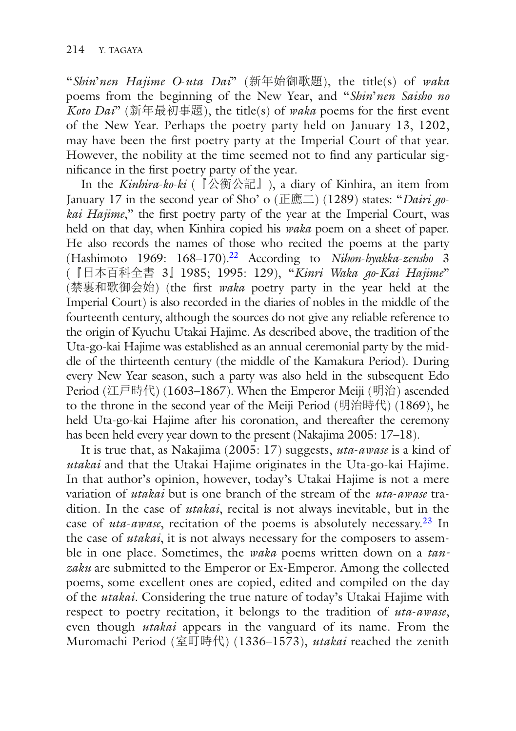"*Shin*'*nen Hajime O*-*uta Dai*" (新年始御歌題), the title(s) of *waka* poems from the beginning of the New Year, and "*Shin*'*nen Saisho no Koto Dai*" (新年最初事題), the title(s) of *waka* poems for the frst event of the New Year. Perhaps the poetry party held on January 13, 1202, may have been the frst poetry party at the Imperial Court of that year. However, the nobility at the time seemed not to fnd any particular signifcance in the frst poetry party of the year.

In the *Kinhira*-*ko*-*ki* (『公衡公記』), a diary of Kinhira, an item from January 17 in the second year of Sho' o (正應二) (1289) states: "*Dairi gokai Hajime*," the frst poetry party of the year at the Imperial Court, was held on that day, when Kinhira copied his *waka* poem on a sheet of paper. He also records the names of those who recited the poems at the party (Hashimoto 1969: 168–170)[.22](#page-11-0) According to *Nihon*-*hyakka*-*zensho* 3 (『日本百科全書 3』1985; 1995: 129), "*Kinri Waka go*-*Kai Hajime*" (禁裏和歌御会始) (the frst *waka* poetry party in the year held at the Imperial Court) is also recorded in the diaries of nobles in the middle of the fourteenth century, although the sources do not give any reliable reference to the origin of Kyuchu Utakai Hajime. As described above, the tradition of the Uta-go-kai Hajime was established as an annual ceremonial party by the middle of the thirteenth century (the middle of the Kamakura Period). During every New Year season, such a party was also held in the subsequent Edo Period (江戸時代) (1603–1867). When the Emperor Meiji (明治) ascended to the throne in the second year of the Meiji Period (明治時代) (1869), he held Uta-go-kai Hajime after his coronation, and thereafter the ceremony has been held every year down to the present (Nakajima 2005: 17–18).

It is true that, as Nakajima (2005: 17) suggests, *uta*-*awase* is a kind of *utakai* and that the Utakai Hajime originates in the Uta-go-kai Hajime. In that author's opinion, however, today's Utakai Hajime is not a mere variation of *utakai* but is one branch of the stream of the *uta*-*awase* tradition. In the case of *utakai*, recital is not always inevitable, but in the case of *uta*-*awase*, recitation of the poems is absolutely necessary.[23](#page-11-0) In the case of *utakai*, it is not always necessary for the composers to assemble in one place. Sometimes, the *waka* poems written down on a *tanzaku* are submitted to the Emperor or Ex-Emperor. Among the collected poems, some excellent ones are copied, edited and compiled on the day of the *utakai*. Considering the true nature of today's Utakai Hajime with respect to poetry recitation, it belongs to the tradition of *uta*-*awase*, even though *utakai* appears in the vanguard of its name. From the Muromachi Period (室町時代) (1336–1573), *utakai* reached the zenith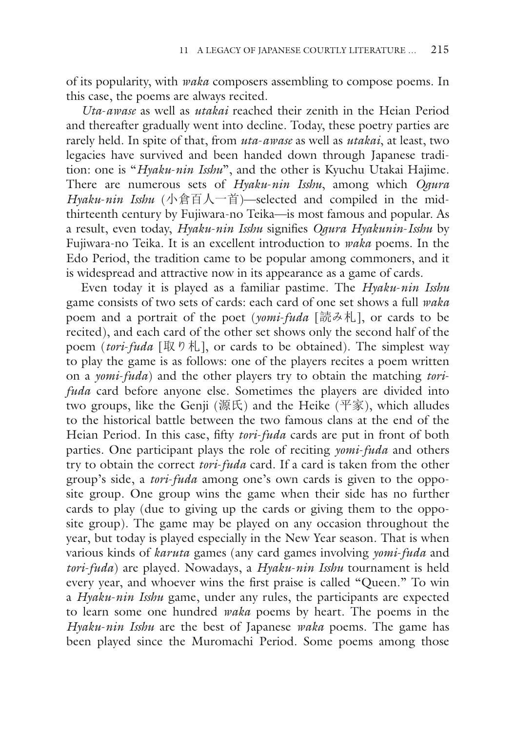of its popularity, with *waka* composers assembling to compose poems. In this case, the poems are always recited.

*Uta*-*awase* as well as *utakai* reached their zenith in the Heian Period and thereafter gradually went into decline. Today, these poetry parties are rarely held. In spite of that, from *uta*-*awase* as well as *utakai*, at least, two legacies have survived and been handed down through Japanese tradition: one is "*Hyaku*-*nin Isshu*", and the other is Kyuchu Utakai Hajime. There are numerous sets of *Hyaku*-*nin Isshu*, among which *Ogura Hyaku*-*nin Isshu* (小倉百人一首)—selected and compiled in the midthirteenth century by Fujiwara-no Teika—is most famous and popular. As a result, even today, *Hyaku*-*nin Isshu* signifes *Ogura Hyakunin*-*Isshu* by Fujiwara-no Teika. It is an excellent introduction to *waka* poems. In the Edo Period, the tradition came to be popular among commoners, and it is widespread and attractive now in its appearance as a game of cards.

Even today it is played as a familiar pastime. The *Hyaku*-*nin Isshu* game consists of two sets of cards: each card of one set shows a full *waka* poem and a portrait of the poet (*yomi*-*fuda* [読み札], or cards to be recited), and each card of the other set shows only the second half of the poem (*tori*-*fuda* [取り札], or cards to be obtained). The simplest way to play the game is as follows: one of the players recites a poem written on a *yomi*-*fuda*) and the other players try to obtain the matching *torifuda* card before anyone else. Sometimes the players are divided into two groups, like the Genji (源氏) and the Heike (平家), which alludes to the historical battle between the two famous clans at the end of the Heian Period. In this case, ffty *tori*-*fuda* cards are put in front of both parties. One participant plays the role of reciting *yomi*-*fuda* and others try to obtain the correct *tori*-*fuda* card. If a card is taken from the other group's side, a *tori*-*fuda* among one's own cards is given to the opposite group. One group wins the game when their side has no further cards to play (due to giving up the cards or giving them to the opposite group). The game may be played on any occasion throughout the year, but today is played especially in the New Year season. That is when various kinds of *karuta* games (any card games involving *yomi*-*fuda* and *tori*-*fuda*) are played. Nowadays, a *Hyaku*-*nin Isshu* tournament is held every year, and whoever wins the frst praise is called "Queen." To win a *Hyaku*-*nin Isshu* game, under any rules, the participants are expected to learn some one hundred *waka* poems by heart. The poems in the *Hyaku*-*nin Isshu* are the best of Japanese *waka* poems. The game has been played since the Muromachi Period. Some poems among those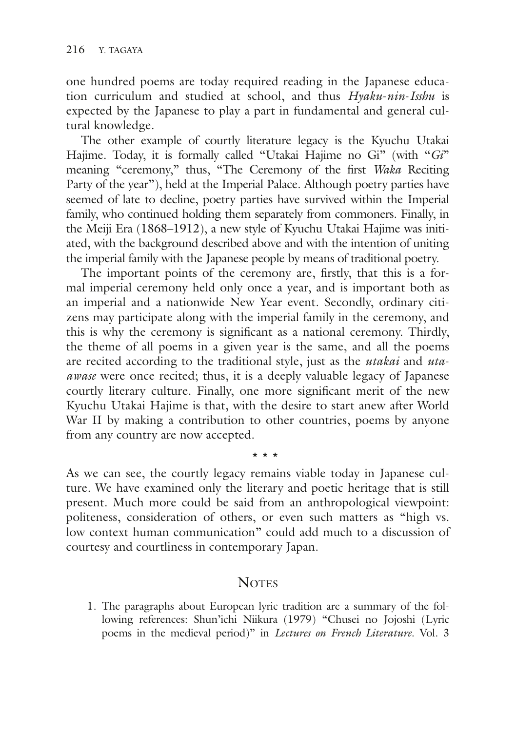one hundred poems are today required reading in the Japanese education curriculum and studied at school, and thus *Hyaku*-*nin*-*Isshu* is expected by the Japanese to play a part in fundamental and general cultural knowledge.

The other example of courtly literature legacy is the Kyuchu Utakai Hajime. Today, it is formally called "Utakai Hajime no Gi" (with "*Gi*" meaning "ceremony," thus, "The Ceremony of the frst *Waka* Reciting Party of the year"), held at the Imperial Palace. Although poetry parties have seemed of late to decline, poetry parties have survived within the Imperial family, who continued holding them separately from commoners. Finally, in the Meiji Era (1868–1912), a new style of Kyuchu Utakai Hajime was initiated, with the background described above and with the intention of uniting the imperial family with the Japanese people by means of traditional poetry.

The important points of the ceremony are, frstly, that this is a formal imperial ceremony held only once a year, and is important both as an imperial and a nationwide New Year event. Secondly, ordinary citizens may participate along with the imperial family in the ceremony, and this is why the ceremony is signifcant as a national ceremony. Thirdly, the theme of all poems in a given year is the same, and all the poems are recited according to the traditional style, just as the *utakai* and *utaawase* were once recited; thus, it is a deeply valuable legacy of Japanese courtly literary culture. Finally, one more signifcant merit of the new Kyuchu Utakai Hajime is that, with the desire to start anew after World War II by making a contribution to other countries, poems by anyone from any country are now accepted.

As we can see, the courtly legacy remains viable today in Japanese culture. We have examined only the literary and poetic heritage that is still present. Much more could be said from an anthropological viewpoint: politeness, consideration of others, or even such matters as "high vs. low context human communication" could add much to a discussion of courtesy and courtliness in contemporary Japan.

\* \* \*

### <span id="page-11-0"></span>**NOTES**

1. The paragraphs about European lyric tradition are a summary of the following references: Shun'ichi Niikura (1979) "Chusei no Jojoshi (Lyric poems in the medieval period)" in *Lectures on French Literature*. Vol. 3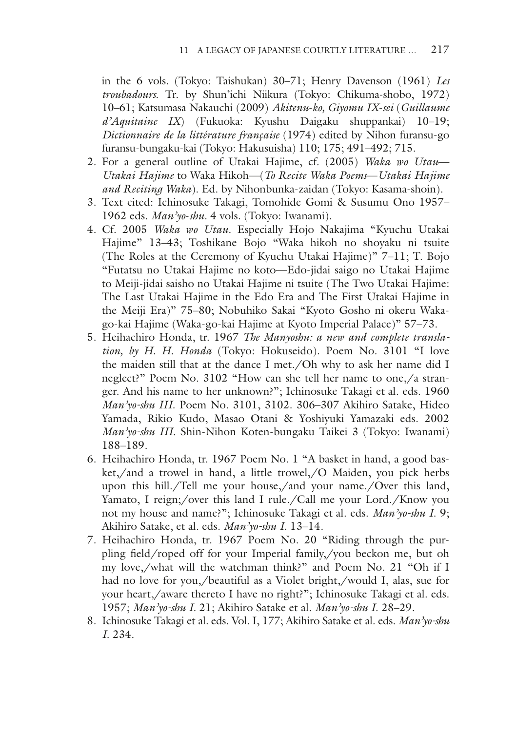in the 6 vols. (Tokyo: Taishukan) 30–71; Henry Davenson (1961) *Les troubadours*. Tr. by Shun'ichi Niikura (Tokyo: Chikuma-shobo, 1972) 10–61; Katsumasa Nakauchi (2009) *Akitenu*-*ko, Giyomu IX*-*sei* (*Guillaume d'Aquitaine IX*) (Fukuoka: Kyushu Daigaku shuppankai) 10–19; *Dictionnaire de la littérature française* (1974) edited by Nihon furansu-go furansu-bungaku-kai (Tokyo: Hakusuisha) 110; 175; 491–492; 715.

- 2. For a general outline of Utakai Hajime, cf. (2005) *Waka wo Utau Utakai Hajime* to Waka Hikoh—(*To Recite Waka Poems*—*Utakai Hajime and Reciting Waka*). Ed. by Nihonbunka-zaidan (Tokyo: Kasama-shoin).
- 3. Text cited: Ichinosuke Takagi, Tomohide Gomi & Susumu Ono 1957– 1962 eds. *Man'yo*-*shu*. 4 vols. (Tokyo: Iwanami).
- 4. Cf. 2005 *Waka wo Utau*. Especially Hojo Nakajima "Kyuchu Utakai Hajime" 13–43; Toshikane Bojo "Waka hikoh no shoyaku ni tsuite (The Roles at the Ceremony of Kyuchu Utakai Hajime)" 7–11; T. Bojo "Futatsu no Utakai Hajime no koto—Edo-jidai saigo no Utakai Hajime to Meiji-jidai saisho no Utakai Hajime ni tsuite (The Two Utakai Hajime: The Last Utakai Hajime in the Edo Era and The First Utakai Hajime in the Meiji Era)" 75–80; Nobuhiko Sakai "Kyoto Gosho ni okeru Wakago-kai Hajime (Waka-go-kai Hajime at Kyoto Imperial Palace)" 57–73.
- 5. Heihachiro Honda, tr. 1967 *The Manyoshu: a new and complete translation, by H. H. Honda* (Tokyo: Hokuseido). Poem No. 3101 "I love the maiden still that at the dance I met./Oh why to ask her name did I neglect?" Poem No. 3102 "How can she tell her name to one,/a stranger. And his name to her unknown?"; Ichinosuke Takagi et al. eds. 1960 *Man'yo-shu III*. Poem No. 3101, 3102. 306–307 Akihiro Satake, Hideo Yamada, Rikio Kudo, Masao Otani & Yoshiyuki Yamazaki eds. 2002 *Man'yo-shu III*. Shin-Nihon Koten-bungaku Taikei 3 (Tokyo: Iwanami) 188–189.
- 6. Heihachiro Honda, tr. 1967 Poem No. 1 "A basket in hand, a good basket,/and a trowel in hand, a little trowel,/O Maiden, you pick herbs upon this hill./Tell me your house,/and your name./Over this land, Yamato, I reign;/over this land I rule./Call me your Lord./Know you not my house and name?"; Ichinosuke Takagi et al. eds. *Man'yo-shu I*. 9; Akihiro Satake, et al. eds. *Man'yo-shu I*. 13–14.
- 7. Heihachiro Honda, tr. 1967 Poem No. 20 "Riding through the purpling feld/roped off for your Imperial family,/you beckon me, but oh my love,/what will the watchman think?" and Poem No. 21 "Oh if I had no love for you,/beautiful as a Violet bright,/would I, alas, sue for your heart,/aware thereto I have no right?"; Ichinosuke Takagi et al. eds. 1957; *Man'yo-shu I.* 21; Akihiro Satake et al. *Man'yo-shu I*. 28–29.
- 8. Ichinosuke Takagi et al. eds. Vol. I, 177; Akihiro Satake et al. eds. *Man'yo-shu I*. 234.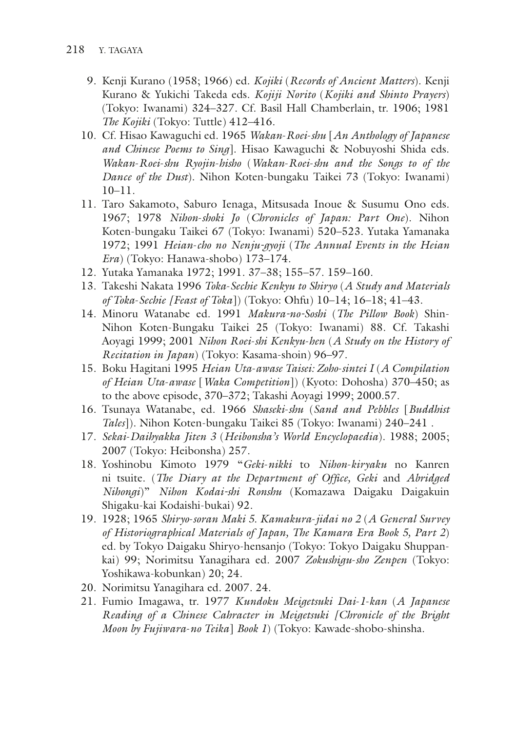- 9. Kenji Kurano (1958; 1966) ed. *Kojiki* (*Records of Ancient Matters*). Kenji Kurano & Yukichi Takeda eds. *Kojiji Norito* (*Kojiki and Shinto Prayers*) (Tokyo: Iwanami) 324–327. Cf. Basil Hall Chamberlain, tr. 1906; 1981 *The Kojiki* (Tokyo: Tuttle) 412–416.
- 10. Cf. Hisao Kawaguchi ed. 1965 *Wakan*-*Roei*-*shu* [*An Anthology of Japanese and Chinese Poems to Sing*]. Hisao Kawaguchi & Nobuyoshi Shida eds. *Wakan*-*Roei*-*shu Ryojin*-*hisho* (*Wakan*-*Roei*-*shu and the Songs to of the Dance of the Dust*). Nihon Koten-bungaku Taikei 73 (Tokyo: Iwanami) 10–11.
- 11. Taro Sakamoto, Saburo Ienaga, Mitsusada Inoue & Susumu Ono eds. 1967; 1978 *Nihon*-*shoki Jo* (*Chronicles of Japan: Part One*). Nihon Koten-bungaku Taikei 67 (Tokyo: Iwanami) 520–523. Yutaka Yamanaka 1972; 1991 *Heian*-*cho no Nenju-gyoji* (*The Annual Events in the Heian Era*) (Tokyo: Hanawa-shobo) 173–174.
- 12. Yutaka Yamanaka 1972; 1991. 37–38; 155–57. 159–160.
- 13. Takeshi Nakata 1996 *Toka*-*Sechie Kenkyu to Shiryo* (*A Study and Materials of Toka*-*Sechie [Feast of Toka*]) (Tokyo: Ohfu) 10–14; 16–18; 41–43.
- 14. Minoru Watanabe ed. 1991 *Makura-no-Soshi* (*The Pillow Book*) Shin-Nihon Koten-Bungaku Taikei 25 (Tokyo: Iwanami) 88. Cf. Takashi Aoyagi 1999; 2001 *Nihon Roei*-*shi Kenkyu*-*hen* (*A Study on the History of Recitation in Japan*) (Tokyo: Kasama-shoin) 96–97.
- 15. Boku Hagitani 1995 *Heian Uta*-*awase Taisei: Zoho*-*sintei I* (*A Compilation of Heian Uta*-*awase* [*Waka Competition*]) (Kyoto: Dohosha) 370–450; as to the above episode, 370–372; Takashi Aoyagi 1999; 2000.57.
- 16. Tsunaya Watanabe, ed. 1966 *Shaseki*-*shu* (*Sand and Pebbles* [*Buddhist Tales*]). Nihon Koten-bungaku Taikei 85 (Tokyo: Iwanami) 240–241 .
- 17. *Sekai*-*Daihyakka Jiten 3* (*Heibonsha's World Encyclopaedia*). 1988; 2005; 2007 (Tokyo: Heibonsha) 257.
- 18. Yoshinobu Kimoto 1979 "*Geki*-*nikki* to *Nihon*-*kiryaku* no Kanren ni tsuite. (*The Diary at the Department of Offce, Geki* and *Abridged Nihongi*)" *Nihon Kodai-shi Ronshu* (Komazawa Daigaku Daigakuin Shigaku-kai Kodaishi-bukai) 92.
- 19. 1928; 1965 *Shiryo*-*soran Maki 5. Kamakura*-*jidai no 2* (*A General Survey of Historiographical Materials of Japan, The Kamara Era Book 5, Part 2*) ed. by Tokyo Daigaku Shiryo-hensanjo (Tokyo: Tokyo Daigaku Shuppankai) 99; Norimitsu Yanagihara ed. 2007 *Zokushigu*-*sho Zenpen* (Tokyo: Yoshikawa-kobunkan) 20; 24.
- 20. Norimitsu Yanagihara ed. 2007. 24.
- 21. Fumio Imagawa, tr. 1977 *Kundoku Meigetsuki Dai*-*1*-*kan* (*A Japanese Reading of a Chinese Cahracter in Meigetsuki [Chronicle of the Bright Moon by Fujiwara*-*no Teika*] *Book 1*) (Tokyo: Kawade-shobo-shinsha.